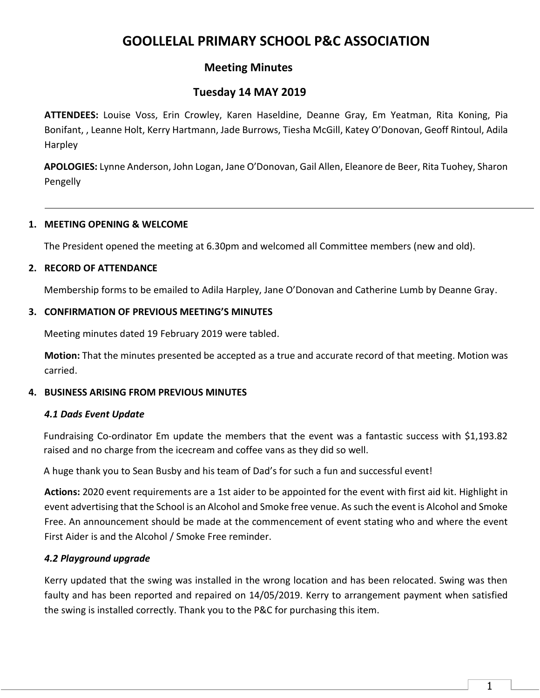# **GOOLLELAL PRIMARY SCHOOL P&C ASSOCIATION**

## **Meeting Minutes**

## **Tuesday 14 MAY 2019**

**ATTENDEES:** Louise Voss, Erin Crowley, Karen Haseldine, Deanne Gray, Em Yeatman, Rita Koning, Pia Bonifant, , Leanne Holt, Kerry Hartmann, Jade Burrows, Tiesha McGill, Katey O'Donovan, Geoff Rintoul, Adila Harpley

**APOLOGIES:** Lynne Anderson, John Logan, Jane O'Donovan, Gail Allen, Eleanore de Beer, Rita Tuohey, Sharon Pengelly

#### **1. MEETING OPENING & WELCOME**

The President opened the meeting at 6.30pm and welcomed all Committee members (new and old).

#### **2. RECORD OF ATTENDANCE**

Membership forms to be emailed to Adila Harpley, Jane O'Donovan and Catherine Lumb by Deanne Gray.

#### **3. CONFIRMATION OF PREVIOUS MEETING'S MINUTES**

Meeting minutes dated 19 February 2019 were tabled.

**Motion:** That the minutes presented be accepted as a true and accurate record of that meeting. Motion was carried.

## **4. BUSINESS ARISING FROM PREVIOUS MINUTES**

## *4.1 Dads Event Update*

Fundraising Co-ordinator Em update the members that the event was a fantastic success with \$1,193.82 raised and no charge from the icecream and coffee vans as they did so well.

A huge thank you to Sean Busby and his team of Dad's for such a fun and successful event!

**Actions:** 2020 event requirements are a 1st aider to be appointed for the event with first aid kit. Highlight in event advertising that the School is an Alcohol and Smoke free venue. As such the event is Alcohol and Smoke Free. An announcement should be made at the commencement of event stating who and where the event First Aider is and the Alcohol / Smoke Free reminder.

## *4.2 Playground upgrade*

Kerry updated that the swing was installed in the wrong location and has been relocated. Swing was then faulty and has been reported and repaired on 14/05/2019. Kerry to arrangement payment when satisfied the swing is installed correctly. Thank you to the P&C for purchasing this item.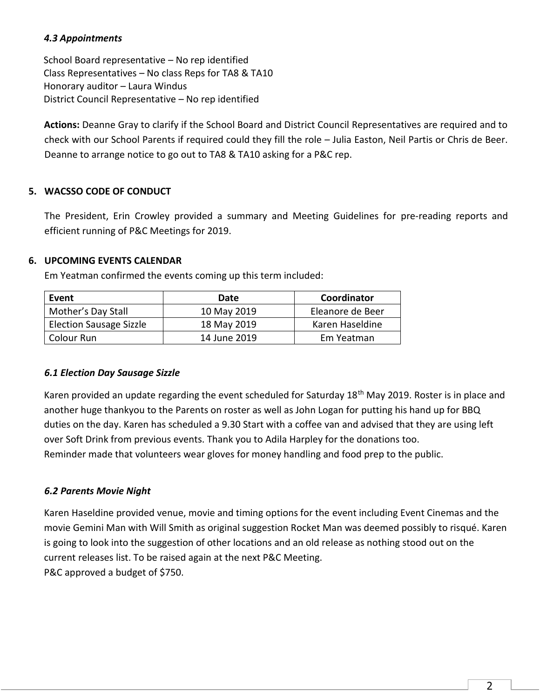## *4.3 Appointments*

School Board representative – No rep identified Class Representatives – No class Reps for TA8 & TA10 Honorary auditor – Laura Windus District Council Representative – No rep identified

**Actions:** Deanne Gray to clarify if the School Board and District Council Representatives are required and to check with our School Parents if required could they fill the role – Julia Easton, Neil Partis or Chris de Beer. Deanne to arrange notice to go out to TA8 & TA10 asking for a P&C rep.

## **5. WACSSO CODE OF CONDUCT**

The President, Erin Crowley provided a summary and Meeting Guidelines for pre-reading reports and efficient running of P&C Meetings for 2019.

## **6. UPCOMING EVENTS CALENDAR**

Em Yeatman confirmed the events coming up this term included:

| Event                          | Date         | Coordinator      |
|--------------------------------|--------------|------------------|
| Mother's Day Stall             | 10 May 2019  | Eleanore de Beer |
| <b>Election Sausage Sizzle</b> | 18 May 2019  | Karen Haseldine  |
| Colour Run                     | 14 June 2019 | Em Yeatman       |

## *6.1 Election Day Sausage Sizzle*

Karen provided an update regarding the event scheduled for Saturday 18<sup>th</sup> May 2019. Roster is in place and another huge thankyou to the Parents on roster as well as John Logan for putting his hand up for BBQ duties on the day. Karen has scheduled a 9.30 Start with a coffee van and advised that they are using left over Soft Drink from previous events. Thank you to Adila Harpley for the donations too. Reminder made that volunteers wear gloves for money handling and food prep to the public.

## *6.2 Parents Movie Night*

Karen Haseldine provided venue, movie and timing options for the event including Event Cinemas and the movie Gemini Man with Will Smith as original suggestion Rocket Man was deemed possibly to risqué. Karen is going to look into the suggestion of other locations and an old release as nothing stood out on the current releases list. To be raised again at the next P&C Meeting. P&C approved a budget of \$750.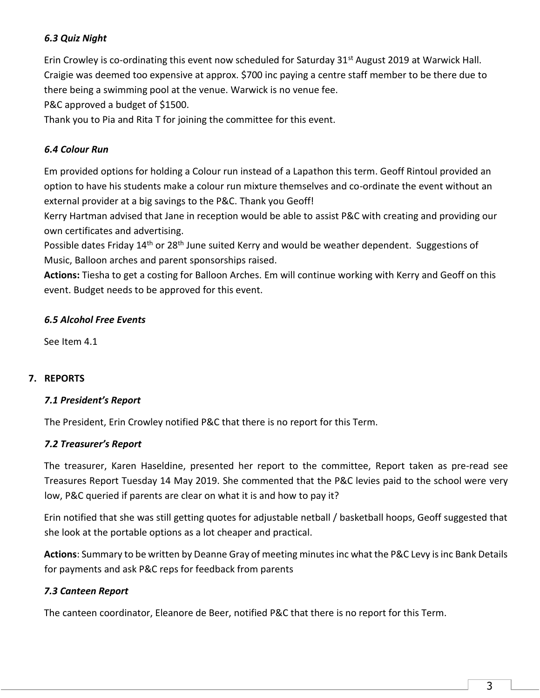## *6.3 Quiz Night*

Erin Crowley is co-ordinating this event now scheduled for Saturday 31<sup>st</sup> August 2019 at Warwick Hall. Craigie was deemed too expensive at approx. \$700 inc paying a centre staff member to be there due to there being a swimming pool at the venue. Warwick is no venue fee.

P&C approved a budget of \$1500.

Thank you to Pia and Rita T for joining the committee for this event.

### *6.4 Colour Run*

Em provided options for holding a Colour run instead of a Lapathon this term. Geoff Rintoul provided an option to have his students make a colour run mixture themselves and co-ordinate the event without an external provider at a big savings to the P&C. Thank you Geoff!

Kerry Hartman advised that Jane in reception would be able to assist P&C with creating and providing our own certificates and advertising.

Possible dates Friday 14<sup>th</sup> or 28<sup>th</sup> June suited Kerry and would be weather dependent. Suggestions of Music, Balloon arches and parent sponsorships raised.

**Actions:** Tiesha to get a costing for Balloon Arches. Em will continue working with Kerry and Geoff on this event. Budget needs to be approved for this event.

#### *6.5 Alcohol Free Events*

See Item 4.1

## **7. REPORTS**

#### *7.1 President's Report*

The President, Erin Crowley notified P&C that there is no report for this Term.

#### *7.2 Treasurer's Report*

The treasurer, Karen Haseldine, presented her report to the committee, Report taken as pre-read see Treasures Report Tuesday 14 May 2019. She commented that the P&C levies paid to the school were very low, P&C queried if parents are clear on what it is and how to pay it?

Erin notified that she was still getting quotes for adjustable netball / basketball hoops, Geoff suggested that she look at the portable options as a lot cheaper and practical.

**Actions**: Summary to be written by Deanne Gray of meeting minutes inc what the P&C Levy is inc Bank Details for payments and ask P&C reps for feedback from parents

## *7.3 Canteen Report*

The canteen coordinator, Eleanore de Beer, notified P&C that there is no report for this Term.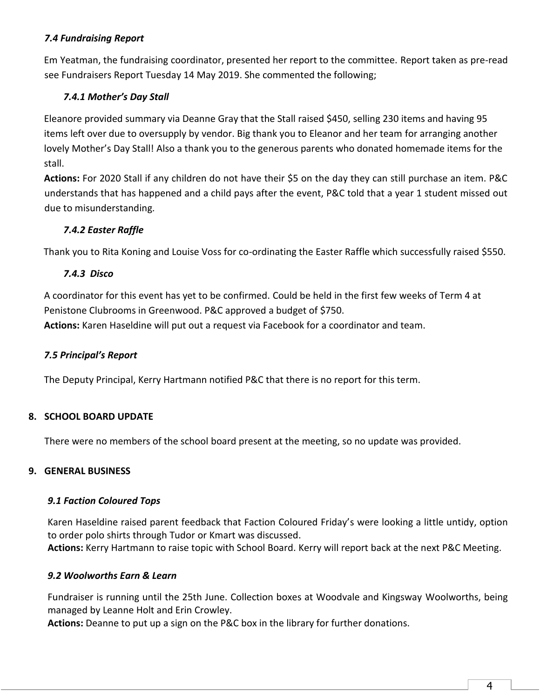## *7.4 Fundraising Report*

Em Yeatman, the fundraising coordinator, presented her report to the committee. Report taken as pre-read see Fundraisers Report Tuesday 14 May 2019. She commented the following;

## *7.4.1 Mother's Day Stall*

Eleanore provided summary via Deanne Gray that the Stall raised \$450, selling 230 items and having 95 items left over due to oversupply by vendor. Big thank you to Eleanor and her team for arranging another lovely Mother's Day Stall! Also a thank you to the generous parents who donated homemade items for the stall.

**Actions:** For 2020 Stall if any children do not have their \$5 on the day they can still purchase an item. P&C understands that has happened and a child pays after the event, P&C told that a year 1 student missed out due to misunderstanding.

## *7.4.2 Easter Raffle*

Thank you to Rita Koning and Louise Voss for co-ordinating the Easter Raffle which successfully raised \$550.

## *7.4.3 Disco*

A coordinator for this event has yet to be confirmed. Could be held in the first few weeks of Term 4 at Penistone Clubrooms in Greenwood. P&C approved a budget of \$750. **Actions:** Karen Haseldine will put out a request via Facebook for a coordinator and team.

## *7.5 Principal's Report*

The Deputy Principal, Kerry Hartmann notified P&C that there is no report for this term.

## **8. SCHOOL BOARD UPDATE**

There were no members of the school board present at the meeting, so no update was provided.

#### **9. GENERAL BUSINESS**

#### *9.1 Faction Coloured Tops*

Karen Haseldine raised parent feedback that Faction Coloured Friday's were looking a little untidy, option to order polo shirts through Tudor or Kmart was discussed.

**Actions:** Kerry Hartmann to raise topic with School Board. Kerry will report back at the next P&C Meeting.

#### *9.2 Woolworths Earn & Learn*

Fundraiser is running until the 25th June. Collection boxes at Woodvale and Kingsway Woolworths, being managed by Leanne Holt and Erin Crowley.

**Actions:** Deanne to put up a sign on the P&C box in the library for further donations.